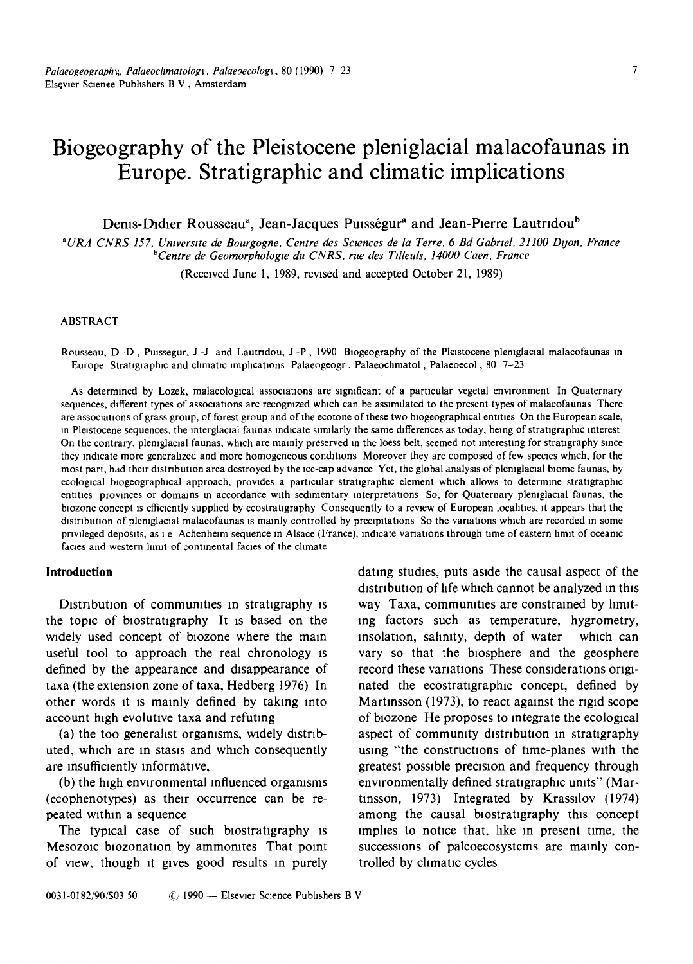# **Biogeography of the Pleistocene pleniglacial malacofaunas in Europe. Stratigraphic and climatic implications**

Denis-Didier Rousseau<sup>a</sup>, Jean-Jacques Puisségur<sup>a</sup> and Jean-Pierre Lautridou<sup>b</sup>

*• URA CNRS 157, Umverslte de Bourgogne, Centre des Sctences de la Terre, 6 Bd Gabrtel, 21100 Dtjon, France bCentre de Geomorphologte du CNRS, rue des Tdleuls, 14000 Caen, France* 

(Received June l, 1989, revised and accepted October 21, 1989)

#### ABSTRACT

Rousseau, D -D, Puissegur, J -J and Lautridou, J -P, 1990 Biogeography of the Pleistocene pleniglacial malacofaunas in Europe Stratigraphic and climatic implications Palaeogeogr, Palaeoclimatol, Palaeoecol, 80 7-23

As determined by Lozek, malacological associations are significant of a particular vegetal environment In Quaternary sequences, different types of associations are recognized which can be assimilated to the present types of malacofaunas There are associations of grass group, of forest group and of the ecotone of these two biogeographical entities On the European scale, in Pleistocene sequences, the interglacial faunas indicate similarly the same differences as today, being of stratigraphic interest On the contrary, pleniglacial faunas, which are mainly preserved in the loess belt, seemed not interesting for stratigraphy since they indicate more generalized and more homogeneous conditions Moreover they are composed of few species which, for the most part, had their distribution area destroyed by the ice-cap advance Yet, the global analysis of pleniglacial biome faunas, by ecological biogeographical approach, provides a particular stratigraphic element which allows to determine stratigraphic entities provinces or domains in accordance with sedimentary interpretations So, for Quaternary pleniglacial faunas, the biozone concept is efficiently supplied by ecostratigraphy Consequently to a review of European localities, it appears that the distribution of plemglacial malacofaunas is mainly controlled by precipitations So the variations which are recorded in some privileged deposits, as i e Achenheim sequence in Alsace (France), indicate variations through time of eastern limit of oceanic facies and western limit of continental facies of the climate

## **Introduction**

Distribution of communities in stratigraphy is the topic of blostrattgraphy It is based on the widely used concept of biozone where the main useful tool to approach the real chronology is defined by the appearance and disappearance of taxa (the extenston zone of taxa, Hedberg 1976) In other words it is mamly defined by taking into account high evolutive taxa and refuting

(a) the too generalist organisms, widely distributed, which are in stasis and which consequently are insufficiently informative,

(b) the high environmental mfluenced orgamsms (ecophenotypes) as their occurrence can be repeated within a sequence

The typical case of such biostratigraphy is Mesozoic biozonation by ammonites That point of view, though tt gives good results m purely dating studies, puts aside the causal aspect of the distribution of life which cannot be analyzed in this way Taxa, communities are constrained by limitlng factors such as temperature, hygrometry, insolation, sahmty, depth of water which can vary so that the biosphere and the geosphere record these variations These considerations originated the ecostratigraphic concept, defined by Martinsson (1973), to react against the rigid scope of btozone He proposes to mtegrate the ecological aspect of community distribution m stratigraphy usmg "the constructions of time-planes with the greatest possible precision and frequency through environmentally defined stratigraphic units" (Martmsson, 1973) Integrated by Krassilov (1974) among the causal biostratigraphy this concept lmphes to notice that, hke In present time, the successions of paleoecosystems are mainly controlled by climatic cycles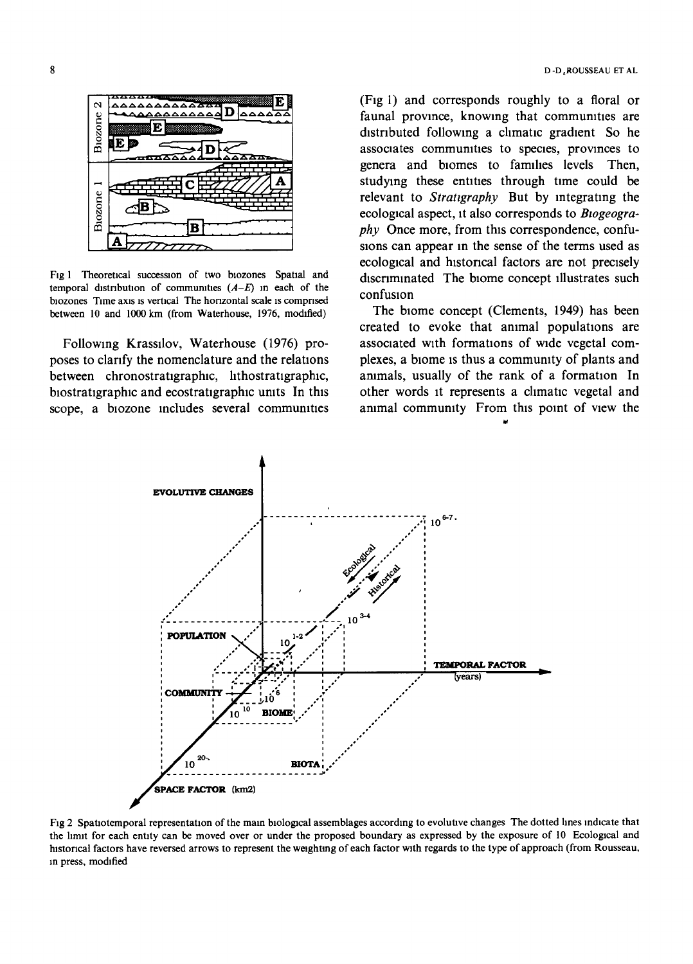

Fig 1 Theoretical succession of two biozones Spatial and temporal distribution of communities  $(A-E)$  in each of the biozones Time axis is vertical The horizontal scale is comprised between 10 and 1000 km (from Waterhouse, 1976, modified)

Following Krassilov, Waterhouse (1976) proposes to clarify the nomenclature and the relations between chronostratigraphic, lithostratigraphic, biostratigraphic and ecostratigraphic units In this scope, a biozone includes several communities (Fig 1) and corresponds roughly to a floral or faunal province, knowing that communities are distributed following a climatic gradient. So he associates communities to species, provinces to genera and biomes to families levels Then, studying these entities through time could be relevant to Stratigraphy But by integrating the ecological aspect, it also corresponds to Biogeogra*phy* Once more, from this correspondence, confusions can appear in the sense of the terms used as ecological and historical factors are not precisely discriminated The biome concept illustrates such confusion

The biome concept (Clements, 1949) has been created to evoke that animal populations are associated with formations of wide vegetal complexes, a biome is thus a community of plants and animals, usually of the rank of a formation In other words it represents a climatic vegetal and animal community From this point of view the



Fig 2 Spatiotemporal representation of the main biological assemblages according to evolutive changes. The dotted lines indicate that the limit for each entity can be moved over or under the proposed boundary as expressed by the exposure of 10 Ecological and historical factors have reversed arrows to represent the weighting of each factor with regards to the type of approach (from Rousseau, in press, modified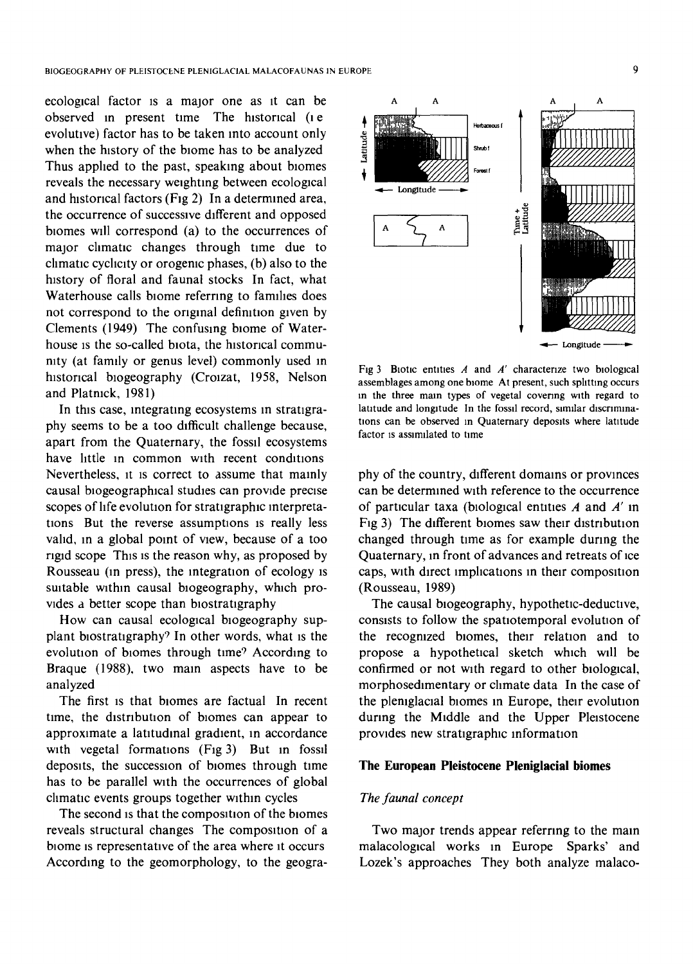ecological factor is a major one as it can be observed in present time The historical (le evolutive) factor has to be taken into account only when the history of the biome has to be analyzed Thus applied to the past, speaking about biomes reveals the necessary weighting between ecological and historical factors (Fig 2) In a determined area, the occurrence of successive different and opposed blomes will correspond (a) to the occurrences of major climatic changes through time due to climatic cychclty or orogenic phases, (b) also to the history of floral and faunal stocks In fact, what Waterhouse calls biome referring to families does not correspond to the original definition given by Clements (1949) The confusing blome of Waterhouse is the so-called biota, the historical community (at family or genus level) commonly used in historical biogeography (Croizat, 1958, Nelson and Platnick, 1981)

In this case, integrating ecosystems in stratigraphy seems to be a too difficult challenge because, apart from the Quaternary, the fossil ecosystems have little in common with recent conditions Nevertheless, it is correct to assume that mainly causal blogeographlcal studies can provide precise scopes of life evolution for stratlgraphic interpretations But the reverse assumptions is really less valid, in a global point of view, because of a too rigid scope This is the reason why, as proposed by Rousseau (in press), the integration of ecology is suitable within causal blogeography, which provides a better scope than biostratigraphy

How can causal ecological blogeography supplant biostratigraphy? In other words, what is the evolution of biomes through time9 According to Braque (1988), two main aspects have to be analyzed

The first is that blomes are factual In recent time, the distribution of blomes can appear to approximate a latitudinal gradient, in accordance with vegetal formations (Fig 3) But in fossil deposits, the succession of blomes through time has to be parallel with the occurrences of global climatic events groups together within cycles

The second is that the composition of the biomes reveals structural changes The composition of a blome IS representative of the area where it occurs According to the geomorphology, to the geogra-



Fig 3 Biotic entities  $A$  and  $A'$  characterize two biological assemblages among one biome At present, such splitting occurs m the three mam types of vegetal covenng with regard to latitude and longitude In the fossil record, similar discriminations can be observed in Quaternary deposits where latitude factor is assimilated to time

phy of the country, different domains or provinces can be determined with reference to the occurrence of particular taxa (biological entities  $A$  and  $A'$  in Fig 3) The different blomes saw their distribution changed through time as for example during the Quaternary, in front of advances and retreats of ice caps, with direct implications in their composition (Rousseau, 1989)

The causal biogeography, hypothetic-deductive, consists to follow the spatlotemporal evolution of the recognized blomes, their relation and to propose a hypothetical sketch which will be confirmed or not with regard to other biological, morphosedlmentary or climate data In the case of the pleniglacial biomes in Europe, their evolution during the Middle and the Upper Pleistocene provides new stratigraphic information

# **The European Pleistocene Pleniglacial biomes**

#### *The faunal concept*

Two major trends appear referring to the main malacological works in Europe Sparks' and Lozek's approaches They both analyze malaco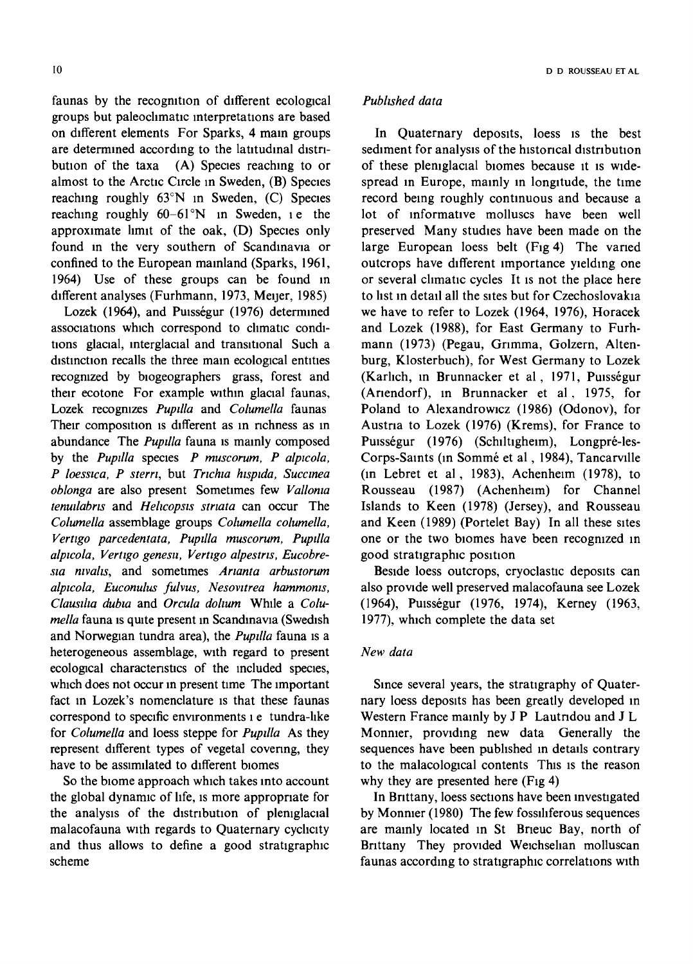I0 D D ROUSSEAU ET AL

faunas by the recognition of different ecological groups but paleochmatic interpretations are based on different elements For Sparks, 4 main groups are determined according to the latitudinal distribution of the taxa (A) Species reaching to or almost to the Arctic Circle in Sweden, (B) Species reaching roughly 63°N in Sweden, (C) Species reaching roughly  $60-61^\circ N$  in Sweden, i.e. the approximate limit of the oak, (D) Species only found in the very southern of Scandinavia or confined to the European mainland (Sparks, 1961, 1964) Use of these groups can be found in different analyses (Furhmann, 1973, Meijer, 1985)

Lozek (1964), and Puisségur (1976) determined associations which correspond to climatic conditions glacial, interglacial and transitional Such a distinction recalls the three main ecological entities recognized by biogeographers grass, forest and their ecotone For example within glacial faunas, Lozek recognizes *Puptlla* and *Columella* faunas Their composition is different as in richness as in abundance The *Pupdla* fauna is mainly composed by the *Pupilla* species *P* muscorum, *P* alpicola, *P* loessica, *P* sterri, but *Trichia hispida*, *Succinea oblonga* are also present Sometimes few *Valloma*  tenulabris and *Helicopsis striata* can occur The *Columella* assemblage groups *Columella columella, Vertigo parcedentata, Pupdla muscorum, Pupdla alpwola, Verttgo genesu, Verttgo alpestrts, Eucobresta mvahs,* and sometimes *Artanta arbustorum alptcola, Euconulus fulvus, Nesovttrea hammoms, Clauslha dubta* and *Orcula dohum* While a *Columella* fauna is quite present in Scandinavia (Swedish and Norwegian tundra area), the *Pupdla* fauna is a heterogeneous assemblage, with regard to present ecological characteristics of the included species, which does not occur in present time The important fact In Lozek's nomenclature is that these faunas correspond to specific environments i e tundra-like for *Columella* and loess steppe for *Pupdla* As they represent different types of vegetal covenng, they have to be assimilated to different biomes

So the biome approach which takes into account the global dynamic of life, is more appropriate for the analysis of the distribution of pleniglacial malacofauna with regards to Quaternary cyclicity and thus allows to define a good stratigraphic scheme

# *Published data*

In Quaternary deposits, loess is the best sediment for analysis of the historical distribution of these pleniglacial biomes because it is widespread in Europe, mainly in longitude, the time record being roughly continuous and because a lot of informative molluscs have been well preserved Many studies have been made on the large European loess belt (Fig 4) The varied outcrops have different importance yielding one or several climatic cycles It is not the place here to list in detail all the sites but for Czechoslovakia we have to refer to Lozek (1964, 1976), Horacek and Lozek (1988), for East Germany to Furhmann (1973) (Pegau, Grimma, Golzern, Altenburg, Klosterbuch), for West Germany to Lozek (Karlich, in Brunnacker et al, 1971, Puisségur (Arlendorf), in Brunnacker et al, 1975, for Poland to Alexandrowicz (1986) (Odonov), for Austria to Lozek (1976) (Krems), for France to Puisségur (1976) (Schiltigheim), Longpré-les-Corps-Saints (in Sommé et al, 1984), Tancarville (in Lebret et al, 1983), Achenheim (1978), to Rousseau (1987) (Achenheim) for Channel Islands to Keen (1978) (Jersey), and Rousseau and Keen (1989) (Portelet Bay) In all these sites one or the two biomes have been recognized in good stratlgraphlc position

Beside loess outcrops, cryoclastic deposits can also provide well preserved malacofauna see Lozek (1964), Puisségur (1976, 1974), Kerney (1963, 1977), which complete the data set

# *New data*

Since several years, the stratigraphy of Quaternary loess deposits has been greatly developed in Western France mainly by J P Lautridou and J L Monnier, providing new data Generally the sequences have been published in details contrary to the malacological contents This is the reason why they are presented here (Fig 4)

In Brittany, loess sections have been Investigated by Monnler (1980) The few fosslhferous sequences are mainly located in St Brieuc Bay, north of Brittany They provided Weichselian molluscan faunas according to stratigraphic correlations with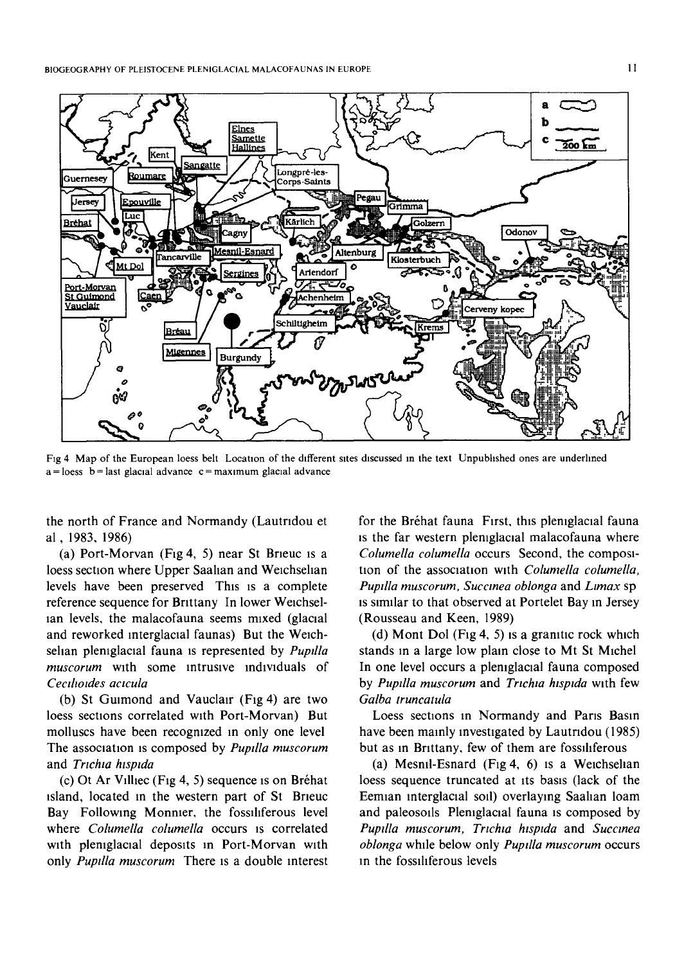

Fig 4 Map of the European loess belt Location of the different sites discussed m the text Unpubhshed ones are underhned  $a =$ loess  $b =$ last glacial advance c = maximum glacial advance

the north of France and Normandy (Lautridou et al, 1983. 1986)

(a) Port-Morvan (Fig 4, 5) near St Brieuc is a loess section where Upper Saallan and Welchsehan levels have been preserved This IS a complete reference sequence for Brittany In lower Weichsellan levels, the malacofauna seems mixed (glacial and reworked interglacial faunas) But the Weichselian pleniglacial fauna is represented by *Pupilla* muscorum with some intrusive individuals of *Cecthotdes actcula* 

(b) St Guimond and Vauclair (Fig 4) are two loess sections correlated with Port-Morvan) But molluscs have been recognized in only one level The association is composed by *Pupdla muscorum*  and *Trichia hispida* 

(c) Ot Ar Villiec (Fig 4, 5) sequence is on Bréhat ~sland, located In the western part of St Brleuc Bay Following Monnier, the fossiliferous level where *Columella columella* occurs is correlated with pleniglacial deposits in Port-Morvan with only *Pupdla muscorum* There is a double interest for the Bréhat fauna First, this pleniglacial fauna is the far western pleniglacial malacofauna where *Columella columella* occurs Second, the composition of the association with *Columella columella*, *Pupdla muscorum, Succmea oblonga* and *Ltmax* sp is similar to that observed at Portelet Bay in Jersey (Rousseau and Keen, 1989)

(d) Mont Dol (Fig 4, 5) is a granitic rock which stands In a large low plain close to Mt St Michel In one level occurs a pleniglacial fauna composed by *Pupilla muscorum* and *Trichia hispida* with few *Galba truncatula* 

Loess sections in Normandy and Paris Basin have been mamly investigated by Lautndou (1985) but as in Brittany, few of them are fosslhferous

(a) Mesnil-Esnard  $(Fig 4, 6)$  is a Weichselian loess sequence truncated at its basis (lack of the Eemlan interglacial soil) overlaying Saahan loam and paleosoils Pleniglacial fauna is composed by *Pupilla muscorum, Trichia hispida* and *Succinea oblonga* while below only *Puptlla muscorum* occurs in the fosslllferous levels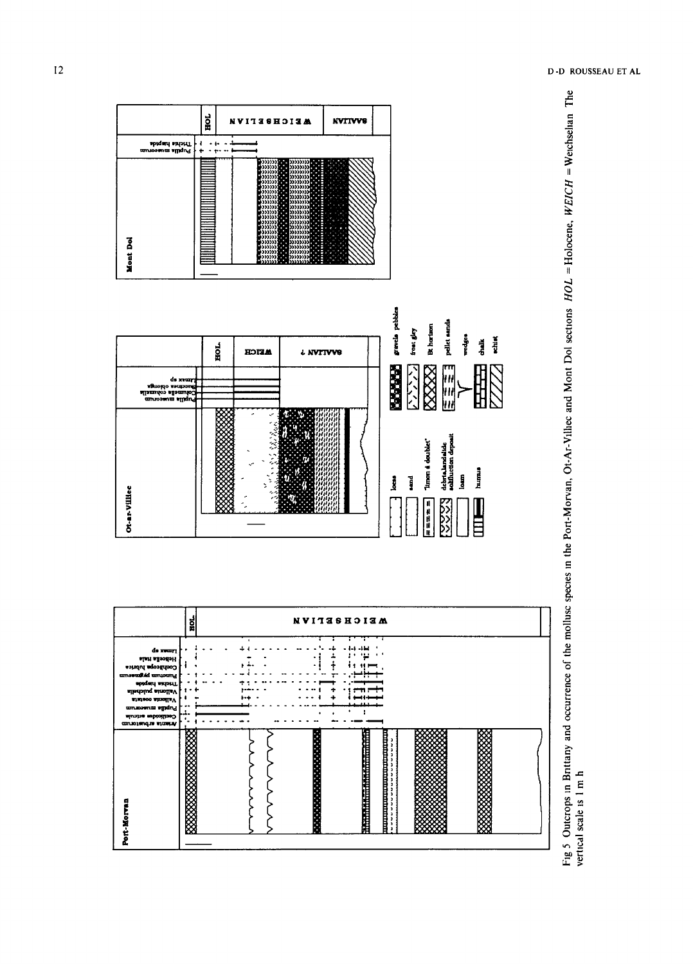

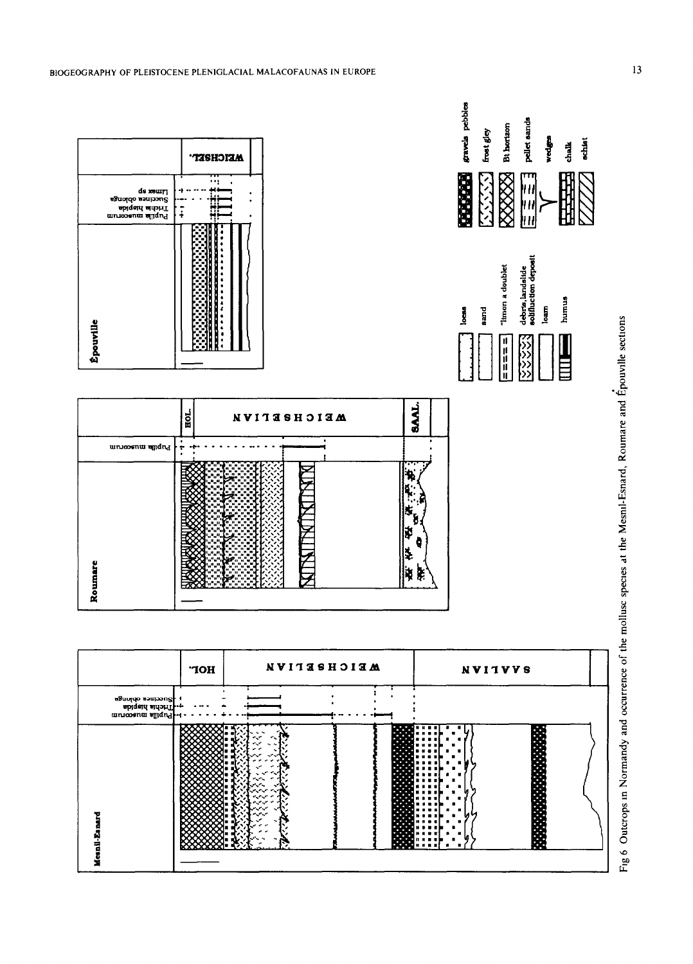

Fig 6 Outcrops in Normandy and occurrence of the mollusc species at the Mesnil-Esnard, Roumare and Épouville sections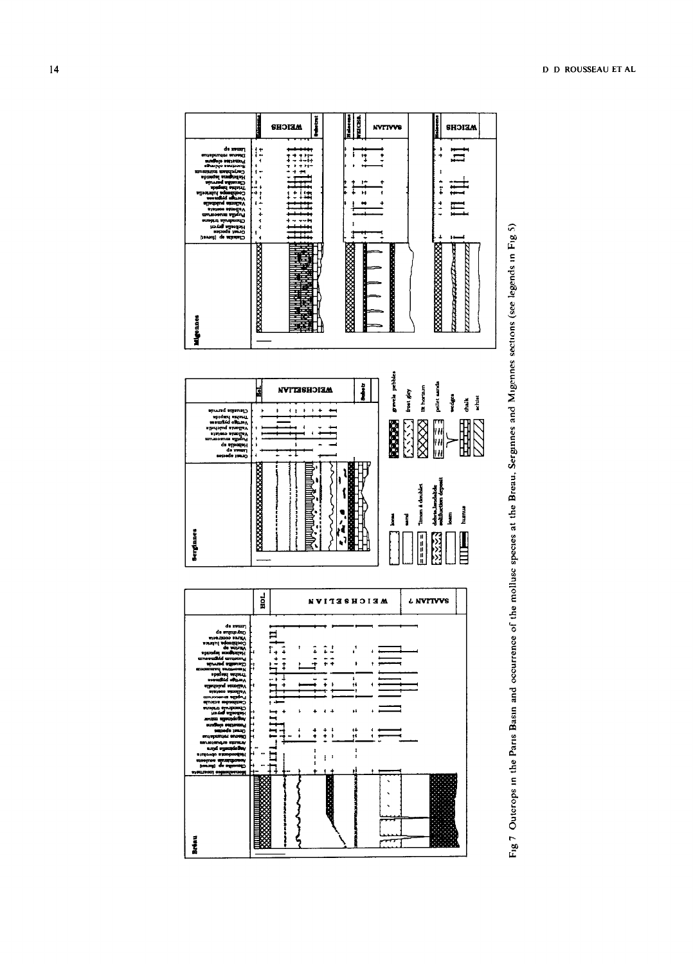



#### **D D ROUSSEAU ET AL**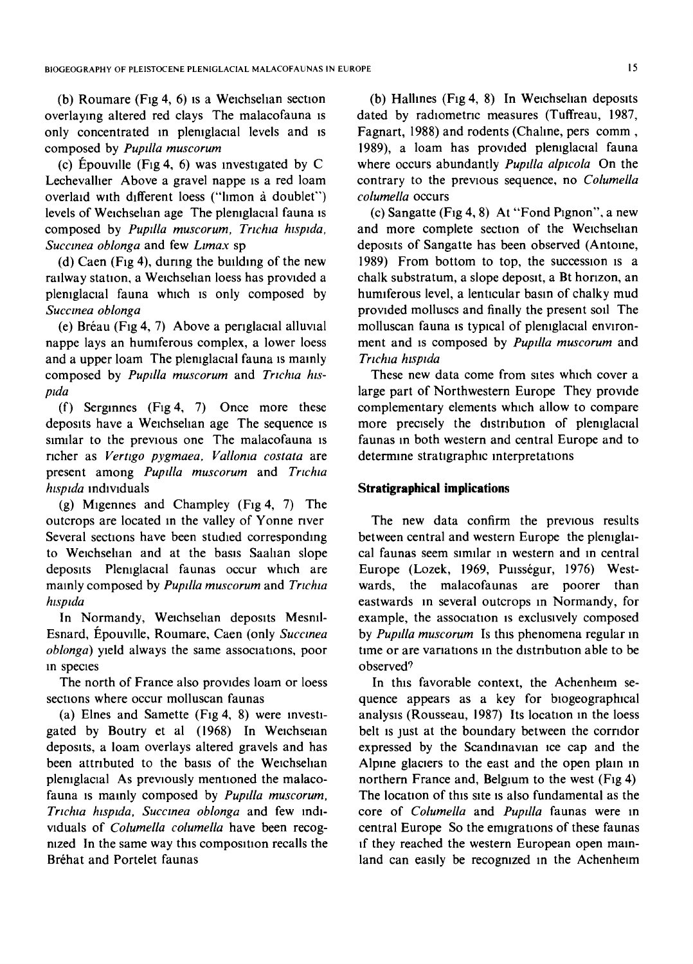(b) Roumare (Fig 4, 6) is a Weichselian section overlaying altered red clays The malacofauna is only concentrated in pleniglacial levels and is composed by *Pupdla muscorum* 

(c) Épouville (Fig 4, 6) was investigated by C Lechevalher Above a gravel nappe is a red loam overlaid with different loess ("limon à doublet") levels of Weichselian age The pleniglacial fauna is composed by *Pupilla muscorum*, *Trichia hispida*, *Succmea oblonga* and few *Ltmax* sp

(d) Caen (Fig 4), during the building of the new railway station, a Weichselian loess has provided a plemglacial fauna which is only composed by *Succmea oblonga* 

(e) Bréau (Fig 4, 7) Above a periglacial alluvial nappe lays an humiferous complex, a lower loess and a upper loam The pleniglacial fauna is mainly composed by Pupilla muscorum and Trichia hispida

(f) Serginnes (Fig 4, 7) Once more these deposits have a Welchsehan age The sequence is similar to the previous one The malacofauna is richer as *Vertzgo pygmaea, Vallonla costata* are present among *Pupilla muscorum* and *Trichia hzsptda* individuals

(g) Mlgennes and Champley (Fig 4, 7) The outcrops are located in the valley of Yonne river Several sections have been studied corresponding to Welchsehan and at the basis Saahan slope deposits Pleniglacial faunas occur which are mainly composed by *Pupilla muscorum* and *Trichia*  $h$ *spida* 

In Normandy, Weichselian deposits Mesnil-Esnard, Épouville, Roumare, Caen (only *Succinea oblonga)* yield always the same associations, poor in species

The north of France also provides loam or loess sections where occur molluscan faunas

(a) Elnes and Samette (Fig 4, 8) were investigated by Boutry et al (1968) In Weichselan deposits, a loam overlays altered gravels and has been attributed to the basis of the Weichsellan pleniglacial As previously mentioned the malacofauna is mainly composed by *Puptlla muscorum, Trichia hispida, Succinea oblonga* and few individuals of *Columella columella* have been recognized In the same way this composition recalls the Bréhat and Portelet faunas

(b) Halhnes (Fig 4, 8) In Welchsehan deposits dated by radiometric measures (Tuffreau, 1987, Fagnart, 1988) and rodents (Chahne, pers comm, 1989), a loam has provided pleniglacial fauna where occurs abundantly *Pupdla alptcola* On the contrary to the prewous sequence, no *Columella columella* occurs

(c) Sangatte (Fig 4, 8) At "Fond Plgnon", a new and more complete section of the Weichselian deposits of Sangatte has been observed (Antoine, 1989) From bottom to top, the succession is a chalk substratum, a slope deposit, a Bt horizon, an humiferous level, a lenticular basin of chalky mud provided molluscs and finally the present soil The molluscan fauna is typical of pleniglacial environment and is composed by *Pupllla muscorum* and *Trichia hispida* 

These new data come from sites which cover a large part of Northwestern Europe They prowde complementary elements which allow to compare more precisely the distribution of pleniglacial faunas in both western and central Europe and to determine stratigraphic interpretations

## **Stratigraphical implications**

The new data confirm the previous results between central and western Europe the pleniglaical faunas seem similar in western and in central Europe (Lozek, 1969, Puisségur, 1976) Westwards, the malacofaunas are poorer than eastwards in several outcrops in Normandy, for example, the association is exclusively composed by *Pupdla muscorum* Is this phenomena regular in time or are variations in the distribution able to be observed9

In this favorable context, the Achenhelm sequence appears as a key for biogeographical analysis (Rousseau, 1987) Its location in the loess belt is just at the boundary between the corridor expressed by the Scandlnawan ice cap and the Alpine glaciers to the east and the open plain in northern France and, Belgium to the west  $(Fig 4)$ The location of this site is also fundamental as the core of *Columella* and *Pupdla* faunas were In central Europe So the emigrations of these faunas if they reached the western European open mainland can easily be recognized in the Achenheim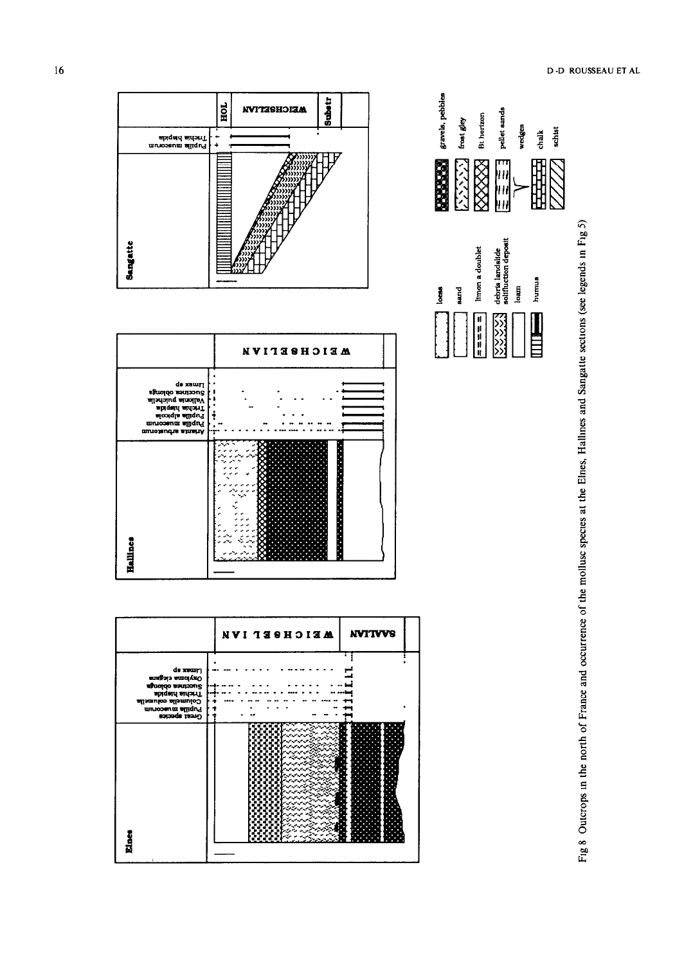



gravels, pebbles







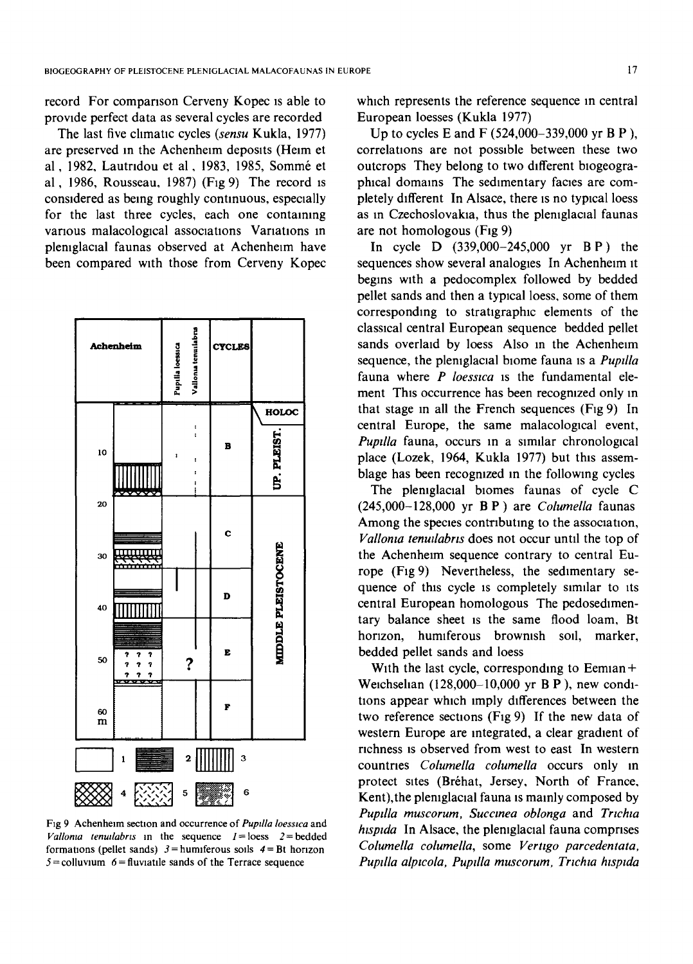record For comparison Cerveny Kopec is able to provide perfect data as several cycles are recorded

The last five climatic cycles *(sensu* Kukla, 1977) are preserved in the Achenheim deposits (Heim et al, 1982, Lautridou et al, 1983, 1985, Sommé et al, 1986, Rousseau. 1987) (Fig 9) The record is considered as being roughly continuous, especially for the last three cycles, each one containing various malacological associations Variations in pleniglacial faunas observed at Achenheim have been compared with those from Cerveny Kopec



Fig 9 Achenheim section and occurrence of *Pupdla loesswa* and *Vallonia tenuilabris* in the sequence  $I =$ loess  $2 =$ bedded formations (pellet sands)  $3 =$  humiferous soils  $4 =$  Bt horizon  $5 =$ colluvium  $6 =$ fluviatile sands of the Terrace sequence

which represents the reference sequence in central European loesses (Kukla 1977)

Up to cycles E and F (524,000-339,000 yr B P ), correlations are not possible between these two outcrops They belong to two different blogeographical domains The sedimentary facies are completely &fferent In Alsace, there is no typical loess as in Czechoslovakia, thus the pleniglacial faunas are not homologous (Fig 9)

In cycle D (339,000-245,000 yr B P) the sequences show several analogies In Achenhelm it begins with a pedocomplex followed by bedded pellet sands and then a typical loess, some of them corresponding to stratigraphic elements of the classical central European sequence bedded pellet sands overlaid by loess Also in the Achenheim sequence, the pleniglacial biome fauna is a *Pupilla* fauna where *P loesstca* is the fundamental element This occurrence has been recognized only in that stage in all the French sequences (Fig 9) In central Europe, the same malacological event, *Pupdla* fauna, occurs in a similar chronological place (Lozek, 1964, Kukla 1977) but this assemblage has been recognized in the following cycles

The pleniglacial biomes faunas of cycle C (245,000-128,000 yr B P ) are *Columella* faunas Among the species contributing to the association, *Vallonia tenuilabris* does not occur until the top of the Achenheim sequence contrary to central Europe (Fig 9) Nevertheless, the sedimentary sequence of this cycle is completely similar to its central European homologous The pedosedimentary balance sheet is the same flood loam, Bt horizon, humiferous brownish sod, marker, bedded pellet sands and loess

With the last cycle, corresponding to Eemian + Welchsehan (128,000-10,000 yr B P ), new conditions appear which imply differences between the two reference sections (Fig 9) If the new data of western Europe are integrated, a clear gradient of richness is observed from west to east In western countries *Columella columella* occurs only in protect sites (Bréhat, Jersey, North of France, Kent), the pleniglacial fauna is mainly composed by *Pupilla muscorum, Succinea oblonga* and *Trichia hispida* In Alsace, the pleniglacial fauna comprises *Columella columella,* some *Vertigo parcedentata, Pupdla alpwola, Pupdla muscorum, Trtchta htsptda*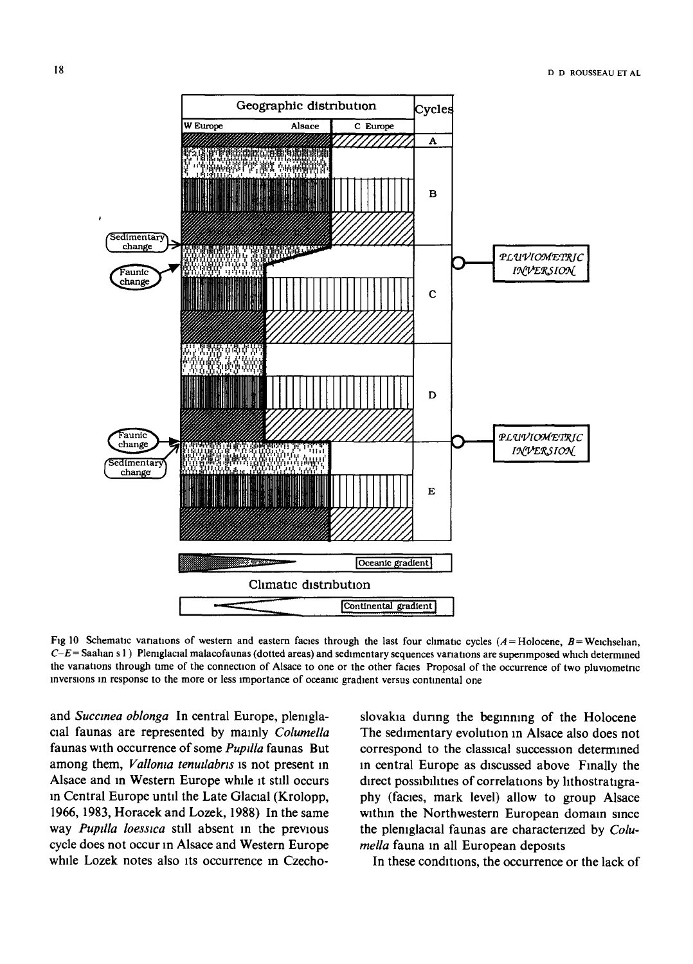

Fig 10 Schematic variations of western and eastern facies through the last four climatic cycles  $(A = Holocene, B = Weichselian)$ , *C-E*= Saahan s 1) Plemglacial malacofaunas (dotted areas) and sedimentary sequences variations are superimposed which determined the variations through time of the connection of Alsace to one or the other facies Proposal of the occurrence of two pluviometric inversions in response to the more or less importance of oceanic gradient versus continental one

and *Succmea oblonga* In central Europe, plemglacial faunas are represented by mainly *Columella* faunas with occurrence of some *Pupdla* faunas But among them, *Valloma tenudabrts* is not present in Alsace and In Western Europe while it still occurs in Central Europe until the Late Glacial (Krolopp, 1966, 1983, Horacek and Lozek, 1988) In the same way *Pupdla loesstca* still absent in the previous cycle does not occur in Alsace and Western Europe while Lozek notes also its occurrence in Czechoslovakia during the beginning of the Holocene The sedimentary evolution in Alsace also does not correspond to the classical succession determined m central Europe as discussed above Finally the direct possibilities of correlations by lithostratigraphy (facies, mark level) allow to group Alsace within the Northwestern European domain since the pleniglacial faunas are characterized by *Columella* fauna in all European deposits

In these conditions, the occurrence or the lack of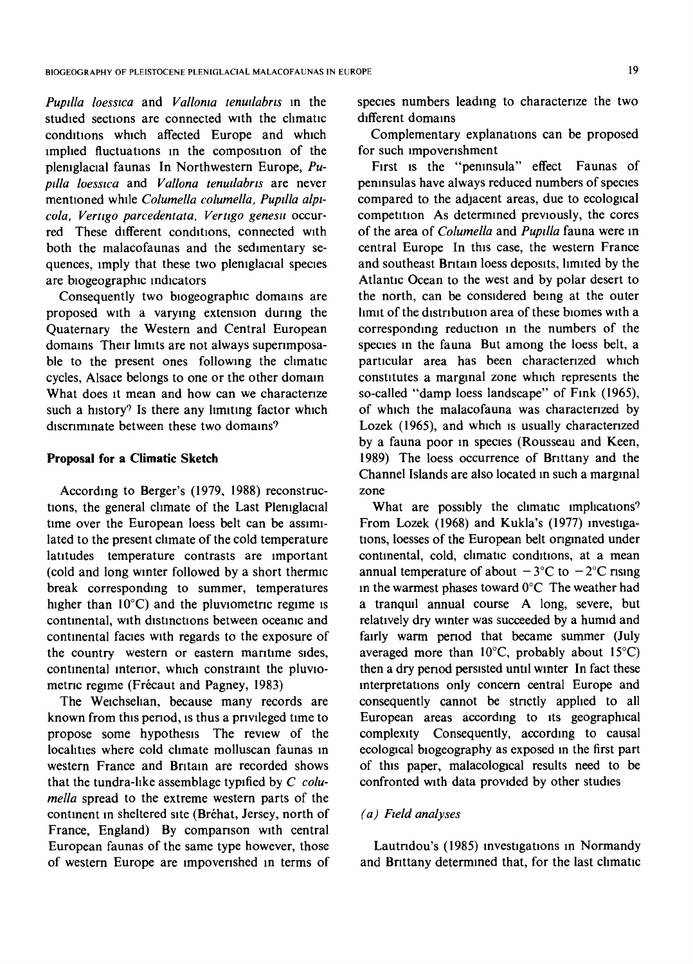*Pupdla loesstca* and *Vallonta tenudabrts* m the studied sections are connected with the climatic conditions which affected Europe and which implied fluctuations in the composition of the pleniglacial faunas In Northwestern Europe, Pu*ptlla loesswa* and *Vallona tenutlabrts* are never mentioned whde *Columella columella, Pupdla alplcola, Vertzgo parcedentata, Verttgo genestt* occurred These different conditions, connected with both the malacofaunas and the sedimentary sequences, imply that these two pleniglacial species are biogeographic indicators

Consequently two biogeographic domains are proposed with a varying extension during the Quaternary the Western and Central European domains Their limits are not always superimposable to the present ones following the climatic cycles, Alsace belongs to one or the other domain What does it mean and how can we characterize such a history? Is there any limiting factor which discriminate between these two domains?

#### **Proposal for a Climatic Sketch**

According to Berger's (1979, 1988) reconstructions, the general climate of the Last Pleniglacial time over the European loess belt can be assimilated to the present climate of the cold temperature latitudes temperature contrasts are important (cold and long winter followed by a short thermlc break corresponding to summer, temperatures higher than  $10^{\circ}$ C) and the pluviometric regime is continental, with distinctions between oceanic and continental facies with regards to the exposure of the country western or eastern maritime sides, continental interior, which constraint the pluwometric regime (Frécaut and Pagney, 1983)

The Weichselian, because many records are known from this period, is thus a privileged time to propose some hypothesis The rewew of the localities where cold climate molluscan faunas in western France and Britain are recorded shows that the tundra-like assemblage typified by *C columella* spread to the extreme western parts of the continent in sheltered site (Bréhat, Jersey, north of France, England) By comparison with central European faunas of the same type however, those of western Europe are impoverished in terms of species numbers leading to characterize the two different domains

Complementary explanations can be proposed for such impoverishment

First is the "peninsula" effect Faunas of peninsulas have always reduced numbers of species compared to the adjacent areas, due to ecological competition As determined prewously, the cores of the area of *Columella* and *Pupdla* fauna were m central Europe In this case, the western France and southeast Britain loess deposits, limited by the Atlantic Ocean to the west and by polar desert to the north, can be considered being at the outer limit of the distribution area of these biomes with a corresponding reduction in the numbers of the species m the fauna But among the loess belt, a particular area has been characterized which constitutes a marginal zone which represents the so-called "damp loess landscape" of Fink (1965), of which the malacofauna was characterized by Lozek (1965), and which is usually characterized by a fauna poor in species (Rousseau and Keen, 1989) The loess occurrence of Brittany and the Channel Islands are also located m such a marginal zone

What are possibly the climatic implications? From Lozek (1968) and Kukla's (1977) investigations, loesses of the European belt originated under continental, cold, climatic conditions, at a mean annual temperature of about  $-3$ °C to  $-2$ °C rising m the warmest phases toward 0°C The weather had a tranqud annual course A long, severe, but relatively dry wmter was succeeded by a humid and fairly warm period that became summer (July averaged more than  $10^{\circ}$ C, probably about  $15^{\circ}$ C) then a dry period persisted until winter In fact these interpretations only concern central Europe and consequently cannot be stnctly apphed to all European areas according to its geographical complexity Consequently, according to causal ecological blogeography as exposed m the first part of this paper, malacological results need to be confronted with data provided by other studies

## *(a) Fwld analyses*

Lautridou's (1985) investigations in Normandy and Brittany determined that, for the last climatic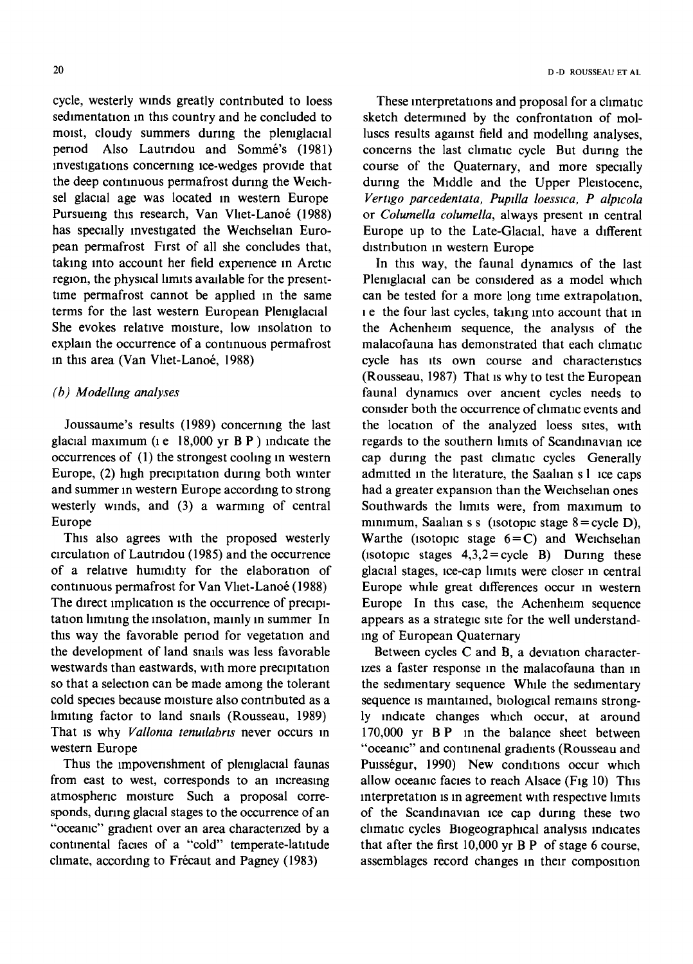cycle, westerly winds greatly contributed to loess sedimentation in this country and he concluded to moist, cloudy summers during the pleniglacial period Also Lautridou and Sommé's (1981) investigations concerning Ice-wedges prowde that the deep continuous permafrost during the Welchsel glacial age was located in western Europe Pursueing this research, Van Vliet-Lanoé (1988) has specially investigated the Weichselian European permafrost First of all she concludes that, taking into account her field experience in Arctic region, the physical limits available for the presenttime permafrost cannot be applied in the same terms for the last western European Pleniglacial She evokes relative moisture, low insolation to explain the occurrence of a continuous permafrost in this area (Van Vliet-Lanoé, 1988)

# *(b) Modelhng analyses*

Joussaume's results (1989) concerning the last glacial maximum ( $ie$  18,000 yr B P ) indicate the occurrences of (1) the strongest coohng m western Europe, (2) high precipitation during both winter and summer in western Europe according to strong westerly winds, and (3) a warming of central Europe

This also agrees with the proposed westerly circulation of Lautridou (1985) and the occurrence of a relative humidity for the elaboration of continuous permafrost for Van Vliet-Lanoé (1988) The direct implication is the occurrence of precipitation limiting the insolation, mainly in summer In this way the favorable period for vegetation and the development of land snarls was less favorable westwards than eastwards, with more precipitation so that a selection can be made among the tolerant cold species because moisture also contributed as a limiting factor to land snails (Rousseau, 1989) That is why *Vallonia tenuilabris* never occurs in western Europe

Thus the impoverishment of pleniglacial faunas from east to west, corresponds to an increasing atmospheric moisture Such a proposal corresponds, during glacial stages to the occurrence of an "oceanic" gradient over an area characterized by a continental facies of a "cold" temperate-latitude climate, according to Frécaut and Pagney (1983)

These interpretations and proposal for a climatic sketch determined by the confrontation of molluscs results against field and modelling analyses, concerns the last climatic cycle But during the course of the Quaternary, and more specially during the Middle and the Upper Pleistocene, *Vertzgo parcedentata, Puptlla loesstca, P alpwola*  or *Columella columella,* always present in central Europe up to the Late-Glacial, have a different distribution in western Europe

In this way, the faunal dynamics of the last Pleniglacial can be considered as a model which can be tested for a more long time extrapolation, I e the four last cycles, taking into account that m the Achenheim sequence, the analysis of the malacofauna has demonstrated that each climatic cycle has its own course and characteristics (Rousseau, 1987) That is why to test the European faunal dynamics over ancient cycles needs to consider both the occurrence of climatic events and the location of the analyzed loess sites, with regards to the southern limits of Scandinavian ice cap during the past climatic cycles Generally admitted in the literature, the Saahan s I ice caps had a greater expansion than the Weichselian ones Southwards the limits were, from maximum to minimum, Saahan s s (isotopic stage  $8 = \text{cycle } D$ ), Warthe (isotopic stage  $6=C$ ) and Weichselian (isotopic stages  $4,3,2=$  cycle B) During these glacial stages, ice-cap limits were closer in central Europe while great differences occur in western Europe In this case, the Achenheim sequence appears as a strategic site for the well understandmg of European Quaternary

Between cycles C and B, a deviation characterlzes a faster response in the malacofauna than in the sedimentary sequence While the sedimentary sequence is maintained, biological remains strongly indicate changes which occur, at around 170,000 yr B P in the balance sheet between "oceanic" and contmenal gradients (Rousseau and Puisségur, 1990) New conditions occur which allow oceamc facies to reach Alsace (Fig 10) This interpretation is in agreement with respective limits of the Scandinavian ice cap during these two climatic cycles Biogeographical analysis indicates that after the first 10,000 yr B P of stage 6 course, assemblages record changes in their composition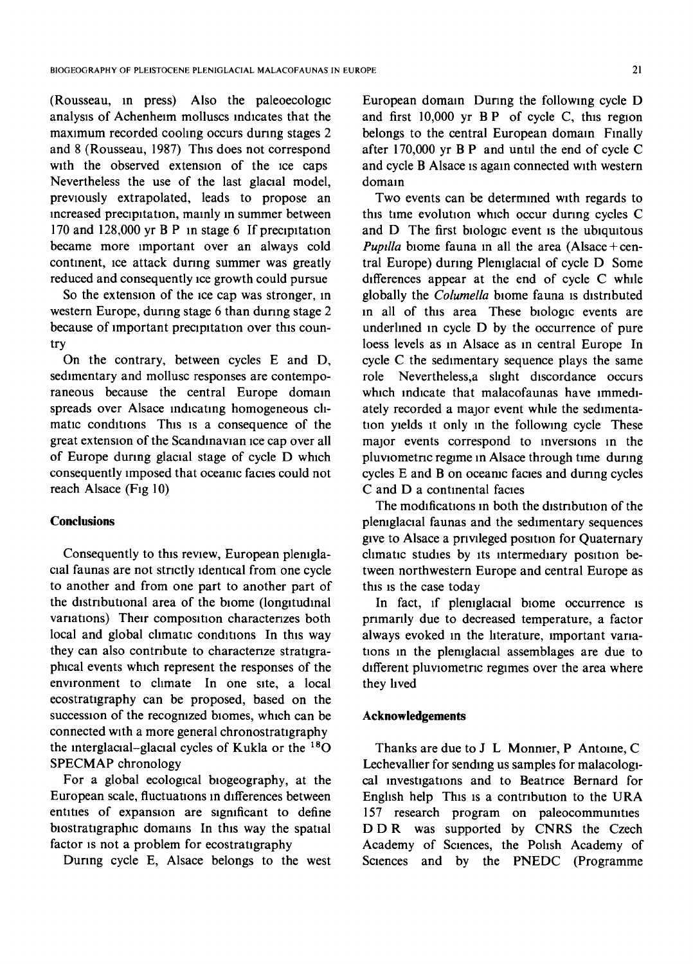(Rousseau, in press) Also the paleoecologlc analysis of Achenheim molluscs indicates that the maximum recorded cooling occurs during stages 2 and 8 (Rousseau, 1987) This does not correspond with the observed extension of the ice caps Nevertheless the use of the last glacial model, previously extrapolated, leads to propose an increased precipitation, mainly in summer between 170 and 128,000 yr B P in stage 6 If precipitation became more important over an always cold continent, ice attack during summer was greatly reduced and consequently ice growth could pursue

So the extension of the ice cap was stronger, in western Europe, during stage 6 than during stage 2 because of Important precipitation over this country

On the contrary, between cycles E and D, sedimentary and mollusc responses are contemporaneous because the central Europe domain spreads over Alsace indicating homogeneous climatic conditions This is a consequence of the great extension of the Scandinavian Ice cap over all of Europe during glacial stage of cycle D which consequently imposed that oceanic facies could not reach Alsace (Fig 10)

#### **Conclusions**

Consequently to this review, European plemglacial faunas are not strictly identical from one cycle to another and from one part to another part of the distributional area of the biome (longitudinal variations) Their composition characterizes both local and global climatic conditions In this way they can also contribute to characterize stratigraphical events which represent the responses of the environment to climate In one site, a local ecostratigraphy can be proposed, based on the succession of the recognized blomes, which can be connected with a more general chronostratigraphy the interglacial-glacial cycles of Kukla or the  $^{18}$ O SPECMAP chronology

For a global ecological blogeography, at the European scale, fluctuations in differences between entities of expansion are significant to define biostratigraphic domains In this way the spatial factor is not a problem for ecostratigraphy

During cycle E, Alsace belongs to the west

European domain Dunng the following cycle D and first 10,000 yr B P of cycle C, this region belongs to the central European domain Finally after 170,000 yr B P and until the end of cycle C and cycle B Alsace is again connected with western domain

Two events can be determined with regards to this time evolution which occur dunng cycles C and D The first biologic event is the ubiquitous *Pupilla* biome fauna in all the area (Alsace + central Europe) during Pleniglacial of cycle D Some differences appear at the end of cycle C while globally the *Columella* blome fauna is distributed In all of this area These biologic events are underlined in cycle D by the occurrence of pure loess levels as in Alsace as in central Europe In cycle C the sedimentary sequence plays the same role Nevertheless,a slight discordance occurs which indicate that malacofaunas have immediately recorded a major event while the sedimentation yields it only in the following cycle These major events correspond to inversions in the pluvlometnc regime in Alsace through time during cycles E and B on oceanic facies and dunng cycles C and D a continental facies

The modifications in both the distribution of the pleniglacial faunas and the sedimentary sequences give to Alsace a privileged position for Quaternary climatic studies by its intermediary position between northwestern Europe and central Europe as this is the case today

In fact, if pleniglacial biome occurrence is primarily due to decreased temperature, a factor always evoked in the hterature, important variations in the pleniglacial assemblages are due to different pluviometric regimes over the area where they lived

# **Acknowledgements**

Thanks are due to J L Monnier, P Antoine, C Lechevalher for sending us samples for malacologlcal investigations and to Beatrice Bernard for English help This is a contribution to the URA 157 research program on paleocommunities DDR was supported by CNRS the Czech Academy of Sciences, the Polish Academy of Sciences and by the PNEDC (Programme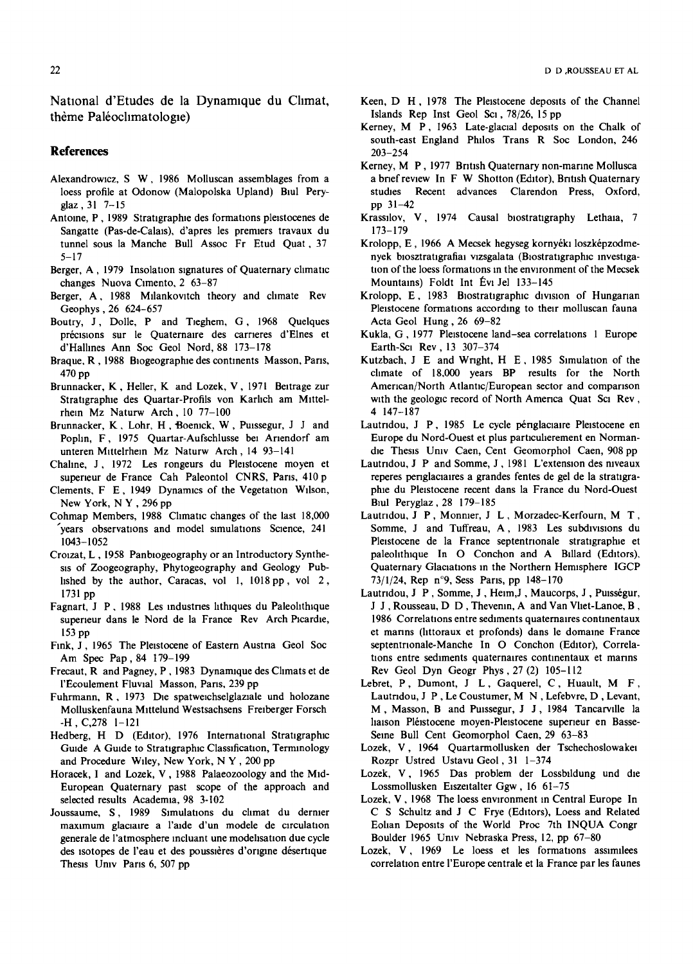National d'Etudes de la Dynamique du Climat, thème Paléoclimatologie)

#### **References**

- Alexandrowicz, S W, 1986 Molluscan assemblages from a loess profile at Odonow (Malopolska Upland) Biul Peryglaz, 31 7-15
- Antoine, P, 1989 Stratigraphie des formations pleistocenes de Sangatte (Pas-de-Calais), d'apres les premiers travaux du tunnel sous la Manche Bull Assoc Fr Etud Quat, 37  $5 - 17$
- Berger, A, 1979 Insolation signatures of Quaternary climatic changes Nuova Cimento, 2 63-87
- Berger, A, 1988 Milankovitch theory and climate Rev Geophys, 26 624-657
- Boutry, J., Dolle, P. and Tieghem, G., 1968 Quelques précisions sur le Quaternaire des carrieres d'Elnes et d'Hallines Ann Soc Geol Nord, 88 173-178
- Braque, R, 1988 Biogeographie des continents Masson, Paris,  $470<sub>po</sub>$
- Brunnacker, K, Heller, K and Lozek, V, 1971 Beitrage zur Stratigraphie des Quartar-Profils von Karlich am Mittelrhein Mz Naturw Arch, 10 77-100
- Brunnacker, K., Lohr, H., Boenick, W., Puissegur, J. J. and Poplin, F, 1975 Quartar-Aufschlusse bei Ariendorf am unteren Mittelrhein Mz Naturw Arch, 14 93-141
- Chaline, J., 1972 Les rongeurs du Pleistocene moyen et superieur de France Cah Paleontol CNRS, Paris, 410 p
- Clements, F E, 1949 Dynamics of the Vegetation Wilson, New York, NY, 296 pp
- Cohmap Members, 1988 Climatic changes of the last 18,000 years observations and model simulations Science, 241 1043-1052
- Croizat, L, 1958 Panbiogeography or an Introductory Synthesis of Zoogeography, Phytogeography and Geology Published by the author, Caracas, vol 1, 1018 pp, vol 2, 1731 pp
- Fagnart, J P, 1988 Les industries lithiques du Paleolithique superieur dans le Nord de la France Rev Arch Picardie,  $153<sub>po</sub>$
- Fink, J, 1965 The Pleistocene of Eastern Austria Geol Soc Am Spec Pap, 84 179-199
- Frecaut, R and Pagney, P, 1983 Dynamique des Climats et de l'Ecoulement Fluvial Masson, Paris, 239 pp
- Fuhrmann, R, 1973 Die spatweichselglaziale und holozane Molluskenfauna Mittelund Westsachsens Freiberger Forsch  $-H$ , C, 278  $1-121$
- Hedberg, H D (Editor), 1976 International Stratigraphic Guide A Guide to Stratigraphic Classification, Terminology and Procedure Wiley, New York, N Y, 200 pp
- Horacek, I and Lozek, V, 1988 Palaeozoology and the Mid-European Quaternary past scope of the approach and selected results Academia, 98 3-102
- Joussaume, S, 1989 Simulations du climat du dernier maximum glaciaire a l'aide d'un modele de circulation generale de l'atmosphere incluant une modelisation due cycle des isotopes de l'eau et des poussières d'origine désertique Thesis Univ Paris 6, 507 pp
- Keen, D H, 1978 The Pleistocene deposits of the Channel Islands Rep Inst Geol Sci, 78/26, 15 pp
- Kerney, M P, 1963 Late-glacial deposits on the Chalk of south-east England Philos Trans R Soc London, 246  $203 - 254$
- Kerney, M P, 1977 British Quaternary non-marine Mollusca a brief review In F W Shotton (Editor), British Quaternary studies Recent advances Clarendon Press, Oxford, pp  $31 - 42$
- Krassilov, V, 1974 Causal biostratigraphy Lethaia, 7  $173 - 179$
- Krolopp, E, 1966 A Mecsek hegyseg kornyéki loszképzodmenyek biosztratigrafiai vizsgalata (Biostratigraphic investigation of the loess formations in the environment of the Mecsek Mountains) Foldt Int Évi Jel 133-145
- Krolopp, E, 1983 Biostratigraphic division of Hungarian Pleistocene formations according to their molluscan fauna Acta Geol Hung, 26 69-82
- Kukla, G, 1977 Pleistocene land-sea correlations 1 Europe Earth-Sci Rev, 13 307-374
- Kutzbach, J E and Wright, H E, 1985 Simulation of the climate of 18,000 years BP results for the North American/North Atlantic/European sector and comparison with the geologic record of North America Quat Sci Rev, 4 147-187
- Lautridou, J P, 1985 Le cycle périglaciaire Pleistocene en Europe du Nord-Ouest et plus particulierement en Normandie Thesis Univ Caen, Cent Geomorphol Caen, 908 pp
- Lautridou, J P and Somme, J, 1981 L'extension des niveaux reperes periglaciaires a grandes fentes de gel de la stratigraphie du Pleistocene recent dans la France du Nord-Ouest Biul Pervglaz, 28 179-185
- Lautridou, J P, Monnier, J L, Morzadec-Kerfourn, M T, Somme, J and Tuffreau, A, 1983 Les subdivisions du Pleistocene de la France septentrionale stratigraphie et paleolithique In O Conchon and A Billard (Editors), Quaternary Glaciations in the Northern Hemisphere IGCP 73/1/24, Rep n°9, Sess Paris, pp 148-170
- Lautridou, J P, Somme, J, Heim, J, Maucorps, J, Puisségur, J J, Rousseau, D D, Thevenin, A and Van Vliet-Lanoe, B, 1986 Correlations entre sediments quaternaires continentaux et marins (littoraux et profonds) dans le domaine France septentrionale-Manche In O Conchon (Editor), Correlations entre sediments quaternaires continentaux et marins Rev Geol Dyn Geogr Phys, 27 (2) 105-112
- Lebret, P, Dumont, J L, Gaquerel, C, Huault, M F, Lautridou, J P, Le Coustumer, M N, Lefebvre, D, Levant, M, Masson, B and Puissegur, J J, 1984 Tancarville la haison Pléistocene moyen-Pleistocene superieur en Basse-Seine Bull Cent Geomorphol Caen, 29 63-83
- Lozek, V, 1964 Quartarmollusken der Tschechoslowaker Rozpr Ustred Ustavu Geol, 31 1-374
- Lozek, V, 1965 Das problem der Lossbildung und die Lossmollusken Eiszeitalter Ggw, 16 61-75
- Lozek, V, 1968 The loess environment in Central Europe In C S Schultz and J C Frye (Editors), Loess and Related Eolian Deposits of the World Proc 7th INQUA Congr Boulder 1965 Univ Nebraska Press, 12, pp 67-80
- Lozek, V, 1969 Le loess et les formations assimilees correlation entre l'Europe centrale et la France par les faunes